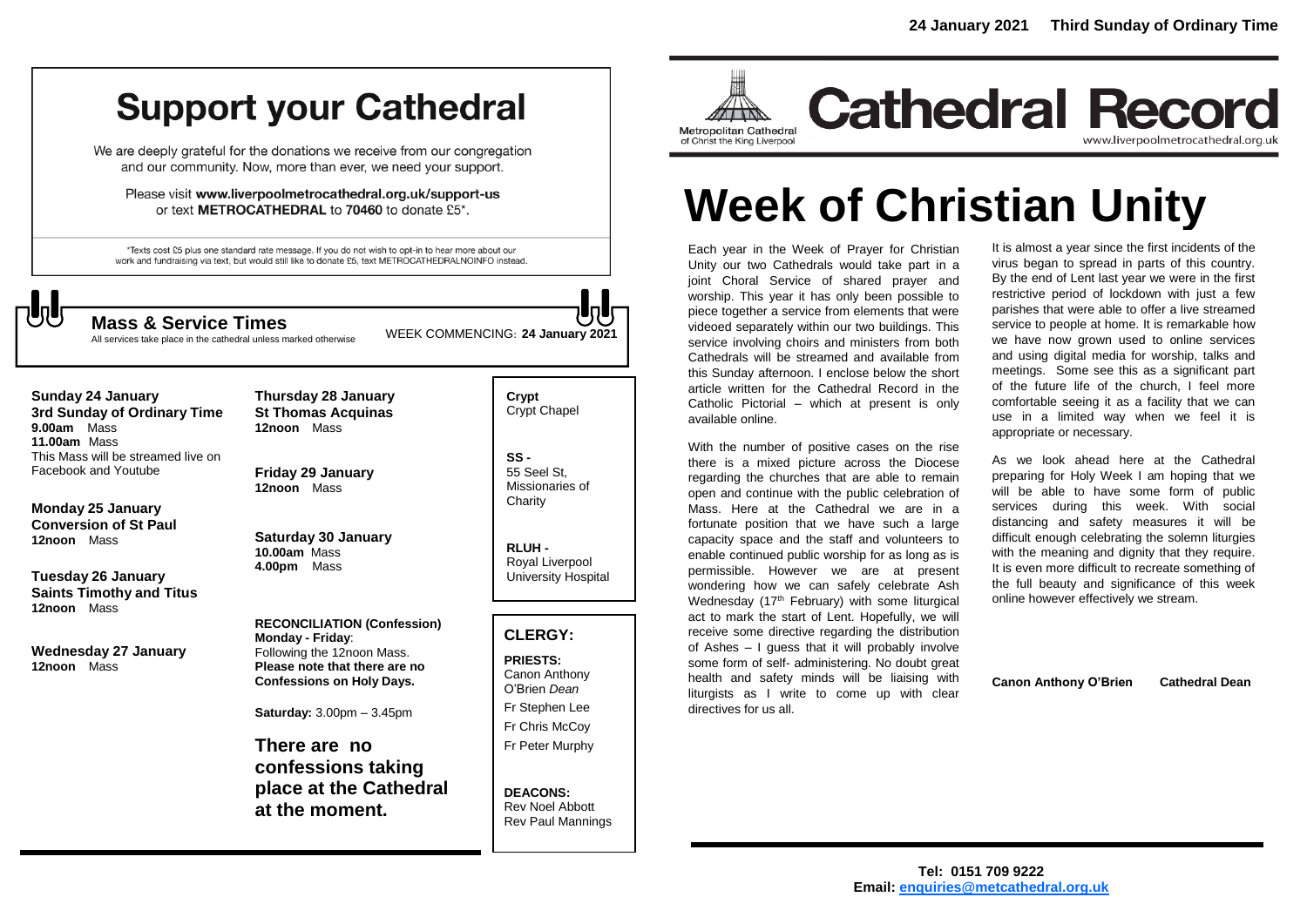# **Support your Cathedral**

We are deeply grateful for the donations we receive from our congregation and our community. Now, more than ever, we need your support.

Please visit www.liverpoolmetrocathedral.org.uk/support-us or text METROCATHEDRAL to 70460 to donate £5\*.

\*Texts cost £5 plus one standard rate message. If you do not wish to opt-in to hear more about our work and fundraising via text, but would still like to donate £5, text METROCATHEDRALNOINFO instead.



WEEK COMMENCING: **<sup>24</sup> January 2021 Mass & Service Times**

All services take place in the cathedral unless marked otherwise

**Sunday 24 January 3rd Sunday of Ordinary Time 9.00am** Mass **11.00am** Mass This Mass will be streamed live on Facebook and Youtube

**Monday 25 January Conversion of St Paul 12noon** Mass

**Tuesday 26 January Saints Timothy and Titus 12noon** Mass

**Wednesday 27 January 12noon** Mass

**Thursday 28 January St Thomas Acquinas 12noon** Mass

**Friday 29 January 12noon** Mass

**Saturday 30 January 10.00am** Mass **4.00pm** Mass

**RECONCILIATION (Confession) Monday - Friday**: Following the 12noon Mass. **Please note that there are no Confessions on Holy Days.**

**Saturday:** 3.00pm – 3.45pm

**There are no confessions taking place at the Cathedral at the moment.**

**Crypt**  Crypt Chapel

**SS -** 55 Seel St, Missionaries of **Charity** 

**RLUH -** Royal Liverpool University Hospital

## **CLERGY:**

**PRIESTS:** Canon Anthony O'Brien *Dean* Fr Stephen Lee Fr Chris McCoy Fr Peter Murphy

**DEACONS:** Rev Noel Abbott Rev Paul Mannings



# **Week of Christian Unity**

Each year in the Week of Prayer for Christian Unity our two Cathedrals would take part in a joint Choral Service of shared prayer and worship. This year it has only been possible to piece together a service from elements that were videoed separately within our two buildings. This service involving choirs and ministers from both Cathedrals will be streamed and available from this Sunday afternoon. I enclose below the short article written for the Cathedral Record in the Catholic Pictorial – which at present is only available online.

With the number of positive cases on the rise there is a mixed picture across the Diocese regarding the churches that are able to remain open and continue with the public celebration of Mass. Here at the Cathedral we are in a fortunate position that we have such a large capacity space and the staff and volunteers to enable continued public worship for as long as is permissible. However we are at present wondering how we can safely celebrate Ash Wednesday ( $17<sup>th</sup>$  February) with some liturgical act to mark the start of Lent. Hopefully, we will receive some directive regarding the distribution of Ashes – I guess that it will probably involve some form of self- administering. No doubt great health and safety minds will be liaising with liturgists as I write to come up with clear directives for us all.

It is almost a year since the first incidents of the virus began to spread in parts of this country. By the end of Lent last year we were in the first restrictive period of lockdown with just a few parishes that were able to offer a live streamed service to people at home. It is remarkable how we have now grown used to online services and using digital media for worship, talks and meetings. Some see this as a significant part of the future life of the church, I feel more comfortable seeing it as a facility that we can use in a limited way when we feel it is appropriate or necessary.

As we look ahead here at the Cathedral preparing for Holy Week I am hoping that we will be able to have some form of public services during this week. With social distancing and safety measures it will be difficult enough celebrating the solemn liturgies with the meaning and dignity that they require. It is even more difficult to recreate something of the full beauty and significance of this week online however effectively we stream.

**Canon Anthony O'Brien Cathedral Dean**